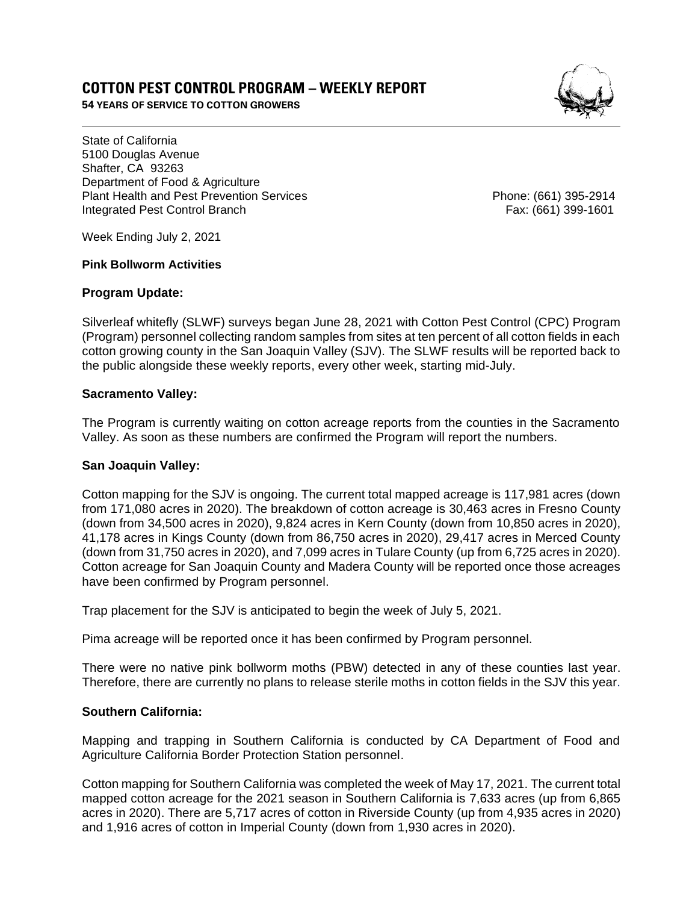# **COTTON PEST CONTROL PROGRAM – WEEKLY REPORT**

**54 YEARS OF SERVICE TO COTTON GROWERS** 

State of California 5100 Douglas Avenue Shafter, CA 93263 Department of Food & Agriculture Plant Health and Pest Prevention Services **Phone: (661)** 395-2914 Integrated Pest Control Branch Fax: (661) 399-1601

Week Ending July 2, 2021

### **Pink Bollworm Activities**

## **Program Update:**

Silverleaf whitefly (SLWF) surveys began June 28, 2021 with Cotton Pest Control (CPC) Program (Program) personnel collecting random samples from sites at ten percent of all cotton fields in each cotton growing county in the San Joaquin Valley (SJV). The SLWF results will be reported back to the public alongside these weekly reports, every other week, starting mid-July.

## **Sacramento Valley:**

The Program is currently waiting on cotton acreage reports from the counties in the Sacramento Valley. As soon as these numbers are confirmed the Program will report the numbers.

## **San Joaquin Valley:**

Cotton mapping for the SJV is ongoing. The current total mapped acreage is 117,981 acres (down from 171,080 acres in 2020). The breakdown of cotton acreage is 30,463 acres in Fresno County (down from 34,500 acres in 2020), 9,824 acres in Kern County (down from 10,850 acres in 2020), 41,178 acres in Kings County (down from 86,750 acres in 2020), 29,417 acres in Merced County (down from 31,750 acres in 2020), and 7,099 acres in Tulare County (up from 6,725 acres in 2020). Cotton acreage for San Joaquin County and Madera County will be reported once those acreages have been confirmed by Program personnel.

Trap placement for the SJV is anticipated to begin the week of July 5, 2021.

Pima acreage will be reported once it has been confirmed by Program personnel.

There were no native pink bollworm moths (PBW) detected in any of these counties last year. Therefore, there are currently no plans to release sterile moths in cotton fields in the SJV this year.

## **Southern California:**

Mapping and trapping in Southern California is conducted by CA Department of Food and Agriculture California Border Protection Station personnel.

Cotton mapping for Southern California was completed the week of May 17, 2021. The current total mapped cotton acreage for the 2021 season in Southern California is 7,633 acres (up from 6,865 acres in 2020). There are 5,717 acres of cotton in Riverside County (up from 4,935 acres in 2020) and 1,916 acres of cotton in Imperial County (down from 1,930 acres in 2020).